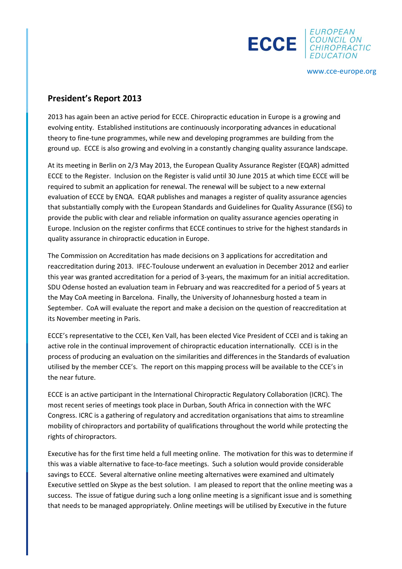



www.cce-europe.org

## **President's Report 2013**

2013 has again been an active period for ECCE. Chiropractic education in Europe is a growing and evolving entity. Established institutions are continuously incorporating advances in educational theory to fine-tune programmes, while new and developing programmes are building from the ground up. ECCE is also growing and evolving in a constantly changing quality assurance landscape.

At its meeting in Berlin on 2/3 May 2013, the European Quality Assurance Register (EQAR) admitted ECCE to the Register. Inclusion on the Register is valid until 30 June 2015 at which time ECCE will be required to submit an application for renewal. The renewal will be subject to a new external evaluation of ECCE by ENQA. EQAR publishes and manages a register of quality assurance agencies that substantially comply with the European Standards and Guidelines for Quality Assurance (ESG) to provide the public with clear and reliable information on quality assurance agencies operating in Europe. Inclusion on the register confirms that ECCE continues to strive for the highest standards in quality assurance in chiropractic education in Europe.

The Commission on Accreditation has made decisions on 3 applications for accreditation and reaccreditation during 2013. IFEC-Toulouse underwent an evaluation in December 2012 and earlier this year was granted accreditation for a period of 3-years, the maximum for an initial accreditation. SDU Odense hosted an evaluation team in February and was reaccredited for a period of 5 years at the May CoA meeting in Barcelona. Finally, the University of Johannesburg hosted a team in September. CoA will evaluate the report and make a decision on the question of reaccreditation at its November meeting in Paris.

ECCE's representative to the CCEI, Ken Vall, has been elected Vice President of CCEI and is taking an active role in the continual improvement of chiropractic education internationally. CCEI is in the process of producing an evaluation on the similarities and differences in the Standards of evaluation utilised by the member CCE's. The report on this mapping process will be available to the CCE's in the near future.

ECCE is an active participant in the International Chiropractic Regulatory Collaboration (ICRC). The most recent series of meetings took place in Durban, South Africa in connection with the WFC Congress. ICRC is a gathering of regulatory and accreditation organisations that aims to streamline mobility of chiropractors and portability of qualifications throughout the world while protecting the rights of chiropractors.

Executive has for the first time held a full meeting online. The motivation for this was to determine if this was a viable alternative to face-to-face meetings. Such a solution would provide considerable savings to ECCE. Several alternative online meeting alternatives were examined and ultimately Executive settled on Skype as the best solution. I am pleased to report that the online meeting was a success. The issue of fatigue during such a long online meeting is a significant issue and is something that needs to be managed appropriately. Online meetings will be utilised by Executive in the future